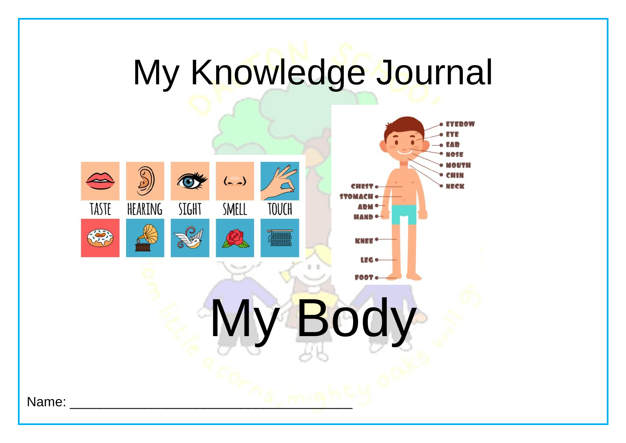# My Knowledge Journal

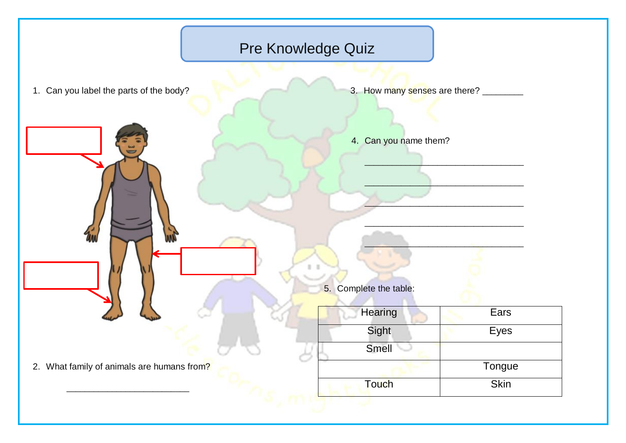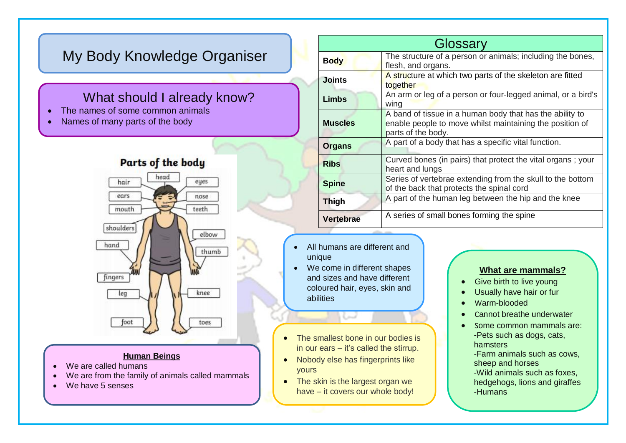## My Body Knowledge Organiser

### What should I already know?

- The names of some common animals
- Names of many parts of the body



#### **Human Beings**

- We are called humans
- We are from the family of animals called mammals
- We have 5 senses

|  |                  | Glossary                                                                                                                                   |
|--|------------------|--------------------------------------------------------------------------------------------------------------------------------------------|
|  | <b>Body</b>      | The structure of a person or animals; including the bones,<br>flesh, and organs.                                                           |
|  | <b>Joints</b>    | A structure at which two parts of the skeleton are fitted<br>together                                                                      |
|  | <b>Limbs</b>     | An arm or leg of a person or four-legged animal, or a bird's<br>wing                                                                       |
|  | <b>Muscles</b>   | A band of tissue in a human body that has the ability to<br>enable people to move whilst maintaining the position of<br>parts of the body. |
|  | <b>Organs</b>    | A part of a body that has a specific vital function.                                                                                       |
|  | <b>Ribs</b>      | Curved bones (in pairs) that protect the vital organs; your<br>heart and lungs                                                             |
|  | <b>Spine</b>     | Series of vertebrae extending from the skull to the bottom<br>of the back that protects the spinal cord                                    |
|  | <b>Thigh</b>     | A part of the human leg between the hip and the knee                                                                                       |
|  | <b>Vertebrae</b> | A series of small bones forming the spine                                                                                                  |

- All humans are different and unique
- We come in different shapes and sizes and have different coloured hair, eyes, skin and abilities
- The smallest bone in our bodies is in our ears – it's called the stirrup.
- Nobody else has fingerprints like yours
- The skin is the largest organ we have – it covers our whole body!

#### **What are mammals?**

- Give birth to live young
- Usually have hair or fur
- Warm-blooded
- Cannot breathe underwater
- Some common mammals are: -Pets such as dogs, cats, hamsters

-Farm animals such as cows, sheep and horses

-Wild animals such as foxes, hedgehogs, lions and giraffes -Humans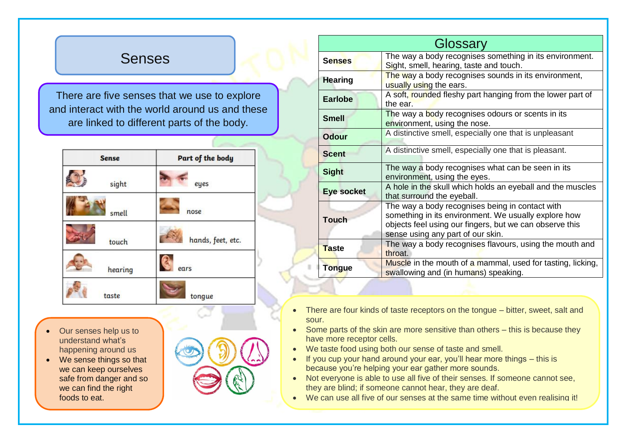## Senses

There are five senses that we use to explore and interact with the world around us and these are linked to different parts of the body.

| <b>Sense</b> | Part of the body  |  |
|--------------|-------------------|--|
| sight        | eyes              |  |
| smell        | nose              |  |
| touch        | hands, feet, etc. |  |
| hearing      | ears              |  |
| taste        | tongue            |  |

- Our senses help us to understand what's happening around us
- We sense things so that we can keep ourselves safe from danger and so we can find the right foods to eat.



| Glossary          |                                                                                                                                                                                                         |  |
|-------------------|---------------------------------------------------------------------------------------------------------------------------------------------------------------------------------------------------------|--|
| <b>Senses</b>     | The way a body recognises something in its environment.<br>Sight, smell, hearing, taste and touch.                                                                                                      |  |
| <b>Hearing</b>    | The way a body recognises sounds in its environment,<br>usually using the ears.                                                                                                                         |  |
| <b>Earlobe</b>    | A soft, rounded fleshy part hanging from the lower part of<br>the ear.                                                                                                                                  |  |
| <b>Smell</b>      | The way a body recognises odours or scents in its<br>environment, using the nose.                                                                                                                       |  |
| <b>Odour</b>      | A distinctive smell, especially one that is unpleasant                                                                                                                                                  |  |
| <b>Scent</b>      | A distinctive smell, especially one that is pleasant.                                                                                                                                                   |  |
| <b>Sight</b>      | The way a body recognises what can be seen in its<br>environment, using the eyes.                                                                                                                       |  |
| <b>Eye socket</b> | A hole in the skull which holds an eyeball and the muscles<br>that surround the eyeball.                                                                                                                |  |
| <b>Touch</b>      | The way a body recognises being in contact with<br>something in its environment. We usually explore how<br>objects feel using our fingers, but we can observe this<br>sense using any part of our skin. |  |
| <b>Taste</b>      | The way a body recognises flavours, using the mouth and<br>throat.                                                                                                                                      |  |
| <b>Tongue</b>     | Muscle in the mouth of a mammal, used for tasting, licking,<br>swallowing and (in humans) speaking.                                                                                                     |  |

- There are four kinds of taste receptors on the tongue bitter, sweet, salt and sour.
- Some parts of the skin are more sensitive than others this is because they have more receptor cells.
- We taste food using both our sense of taste and smell.
- $\bullet$  If you cup your hand around your ear, you'll hear more things  $-$  this is because you're helping your ear gather more sounds.
- Not everyone is able to use all five of their senses. If someone cannot see, they are blind; if someone cannot hear, they are deaf.
- We can use all five of our senses at the same time without even realising it!